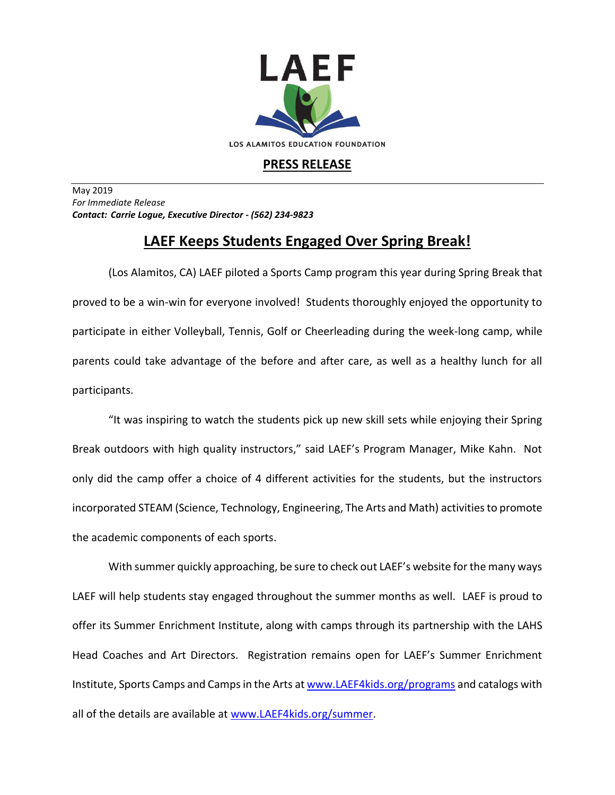

## **PRESS RELEASE**

May 2019 *For Immediate Release Contact: Carrie Logue, Executive Director - (562) 234-9823*

## **LAEF Keeps Students Engaged Over Spring Break!**

(Los Alamitos, CA) LAEF piloted a Sports Camp program this year during Spring Break that proved to be a win-win for everyone involved! Students thoroughly enjoyed the opportunity to participate in either Volleyball, Tennis, Golf or Cheerleading during the week-long camp, while parents could take advantage of the before and after care, as well as a healthy lunch for all participants.

"It was inspiring to watch the students pick up new skill sets while enjoying their Spring Break outdoors with high quality instructors," said LAEF's Program Manager, Mike Kahn. Not only did the camp offer a choice of 4 different activities for the students, but the instructors incorporated STEAM (Science, Technology, Engineering, The Arts and Math) activities to promote the academic components of each sports.

With summer quickly approaching, be sure to check out LAEF's website for the many ways LAEF will help students stay engaged throughout the summer months as well. LAEF is proud to offer its Summer Enrichment Institute, along with camps through its partnership with the LAHS Head Coaches and Art Directors. Registration remains open for LAEF's Summer Enrichment Institute, Sports Camps and Camps in the Arts a[t www.LAEF4kids.org/programs](http://www.laef4kids.org/programs) and catalogs with all of the details are available at [www.LAEF4kids.org/summer.](http://www.laef4kids.org/summer)